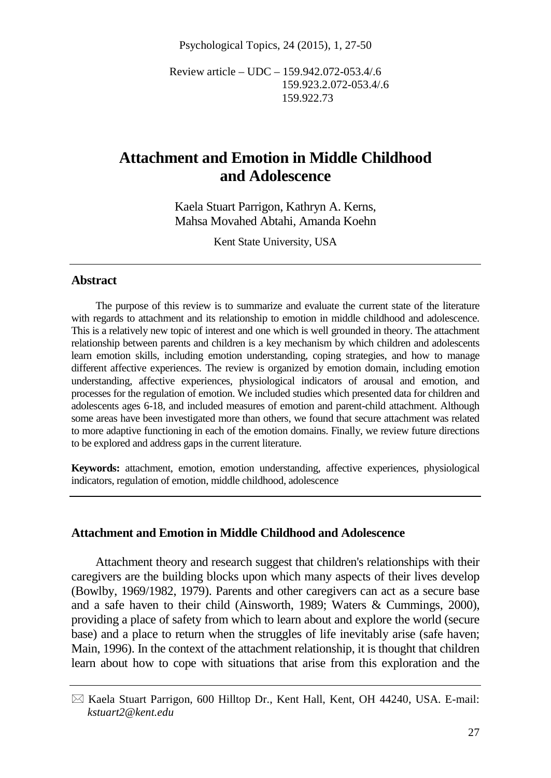Psychological Topics, 24 (2015), 1, 27-50

Review article – UDC – 159.942.072-053.4/.6 159.923.2.072-053.4/.6 159.922.73

# **Attachment and Emotion in Middle Childhood and Adolescence**

Kaela Stuart Parrigon, Kathryn A. Kerns, Mahsa Movahed Abtahi, Amanda Koehn

Kent State University, USA

#### **Abstract**

The purpose of this review is to summarize and evaluate the current state of the literature with regards to attachment and its relationship to emotion in middle childhood and adolescence. This is a relatively new topic of interest and one which is well grounded in theory. The attachment relationship between parents and children is a key mechanism by which children and adolescents learn emotion skills, including emotion understanding, coping strategies, and how to manage different affective experiences. The review is organized by emotion domain, including emotion understanding, affective experiences, physiological indicators of arousal and emotion, and processes for the regulation of emotion. We included studies which presented data for children and adolescents ages 6-18, and included measures of emotion and parent-child attachment. Although some areas have been investigated more than others, we found that secure attachment was related to more adaptive functioning in each of the emotion domains. Finally, we review future directions to be explored and address gaps in the current literature.

**Keywords:** attachment, emotion, emotion understanding, affective experiences, physiological indicators, regulation of emotion, middle childhood, adolescence

#### **Attachment and Emotion in Middle Childhood and Adolescence**

Attachment theory and research suggest that children's relationships with their caregivers are the building blocks upon which many aspects of their lives develop (Bowlby, 1969/1982, 1979). Parents and other caregivers can act as a secure base and a safe haven to their child (Ainsworth, 1989; Waters & Cummings, 2000), providing a place of safety from which to learn about and explore the world (secure base) and a place to return when the struggles of life inevitably arise (safe haven; Main, 1996). In the context of the attachment relationship, it is thought that children learn about how to cope with situations that arise from this exploration and the

 $\boxtimes$  Kaela Stuart Parrigon, 600 Hilltop Dr., Kent Hall, Kent, OH 44240, USA. E-mail: *kstuart2@kent.edu*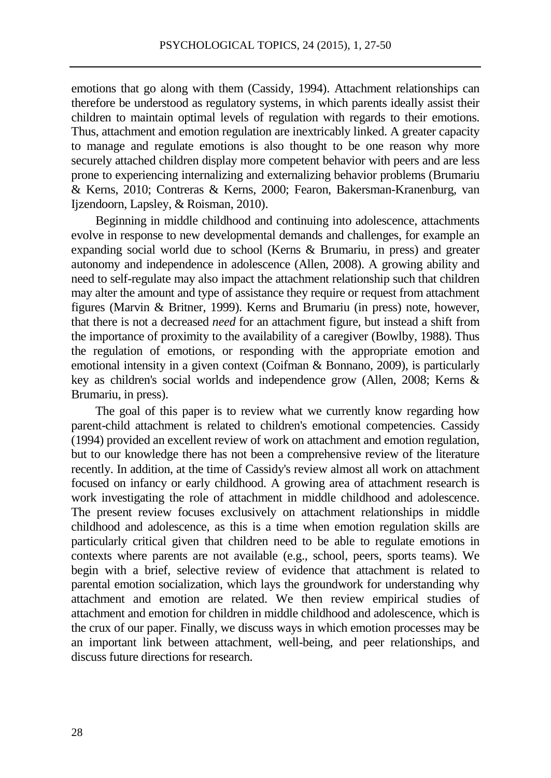emotions that go along with them (Cassidy, 1994). Attachment relationships can therefore be understood as regulatory systems, in which parents ideally assist their children to maintain optimal levels of regulation with regards to their emotions. Thus, attachment and emotion regulation are inextricably linked. A greater capacity to manage and regulate emotions is also thought to be one reason why more securely attached children display more competent behavior with peers and are less prone to experiencing internalizing and externalizing behavior problems (Brumariu & Kerns, 2010; Contreras & Kerns, 2000; Fearon, Bakersman-Kranenburg, van Ijzendoorn, Lapsley, & Roisman, 2010).

Beginning in middle childhood and continuing into adolescence, attachments evolve in response to new developmental demands and challenges, for example an expanding social world due to school (Kerns & Brumariu, in press) and greater autonomy and independence in adolescence (Allen, 2008). A growing ability and need to self-regulate may also impact the attachment relationship such that children may alter the amount and type of assistance they require or request from attachment figures (Marvin & Britner, 1999). Kerns and Brumariu (in press) note, however, that there is not a decreased *need* for an attachment figure, but instead a shift from the importance of proximity to the availability of a caregiver (Bowlby, 1988). Thus the regulation of emotions, or responding with the appropriate emotion and emotional intensity in a given context (Coifman & Bonnano, 2009), is particularly key as children's social worlds and independence grow (Allen, 2008; Kerns & Brumariu, in press).

The goal of this paper is to review what we currently know regarding how parent-child attachment is related to children's emotional competencies. Cassidy (1994) provided an excellent review of work on attachment and emotion regulation, but to our knowledge there has not been a comprehensive review of the literature recently. In addition, at the time of Cassidy's review almost all work on attachment focused on infancy or early childhood. A growing area of attachment research is work investigating the role of attachment in middle childhood and adolescence. The present review focuses exclusively on attachment relationships in middle childhood and adolescence, as this is a time when emotion regulation skills are particularly critical given that children need to be able to regulate emotions in contexts where parents are not available (e.g., school, peers, sports teams). We begin with a brief, selective review of evidence that attachment is related to parental emotion socialization, which lays the groundwork for understanding why attachment and emotion are related. We then review empirical studies of attachment and emotion for children in middle childhood and adolescence, which is the crux of our paper. Finally, we discuss ways in which emotion processes may be an important link between attachment, well-being, and peer relationships, and discuss future directions for research.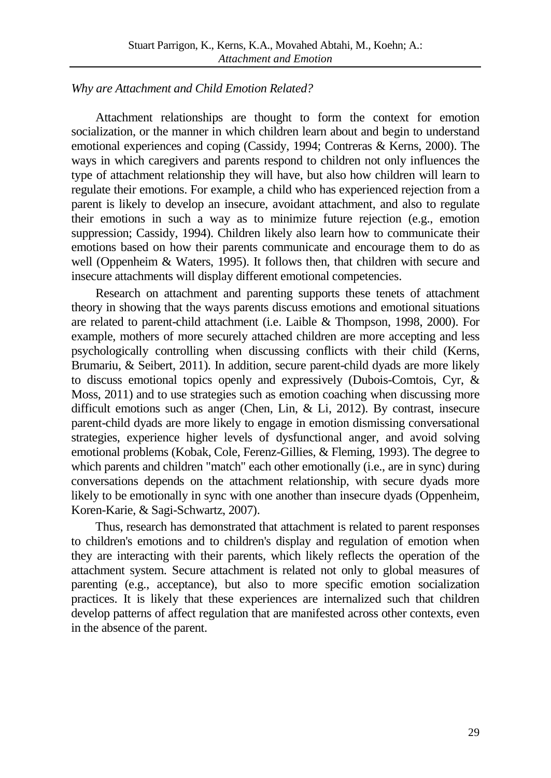## *Why are Attachment and Child Emotion Related?*

Attachment relationships are thought to form the context for emotion socialization, or the manner in which children learn about and begin to understand emotional experiences and coping (Cassidy, 1994; Contreras & Kerns, 2000). The ways in which caregivers and parents respond to children not only influences the type of attachment relationship they will have, but also how children will learn to regulate their emotions. For example, a child who has experienced rejection from a parent is likely to develop an insecure, avoidant attachment, and also to regulate their emotions in such a way as to minimize future rejection (e.g., emotion suppression; Cassidy, 1994). Children likely also learn how to communicate their emotions based on how their parents communicate and encourage them to do as well (Oppenheim & Waters, 1995). It follows then, that children with secure and insecure attachments will display different emotional competencies.

Research on attachment and parenting supports these tenets of attachment theory in showing that the ways parents discuss emotions and emotional situations are related to parent-child attachment (i.e. Laible & Thompson, 1998, 2000). For example, mothers of more securely attached children are more accepting and less psychologically controlling when discussing conflicts with their child (Kerns, Brumariu, & Seibert, 2011). In addition, secure parent-child dyads are more likely to discuss emotional topics openly and expressively (Dubois-Comtois, Cyr, & Moss, 2011) and to use strategies such as emotion coaching when discussing more difficult emotions such as anger (Chen, Lin, & Li, 2012). By contrast, insecure parent-child dyads are more likely to engage in emotion dismissing conversational strategies, experience higher levels of dysfunctional anger, and avoid solving emotional problems (Kobak, Cole, Ferenz-Gillies, & Fleming, 1993). The degree to which parents and children "match" each other emotionally (i.e., are in sync) during conversations depends on the attachment relationship, with secure dyads more likely to be emotionally in sync with one another than insecure dyads (Oppenheim, Koren-Karie, & Sagi-Schwartz, 2007).

Thus, research has demonstrated that attachment is related to parent responses to children's emotions and to children's display and regulation of emotion when they are interacting with their parents, which likely reflects the operation of the attachment system. Secure attachment is related not only to global measures of parenting (e.g., acceptance), but also to more specific emotion socialization practices. It is likely that these experiences are internalized such that children develop patterns of affect regulation that are manifested across other contexts, even in the absence of the parent.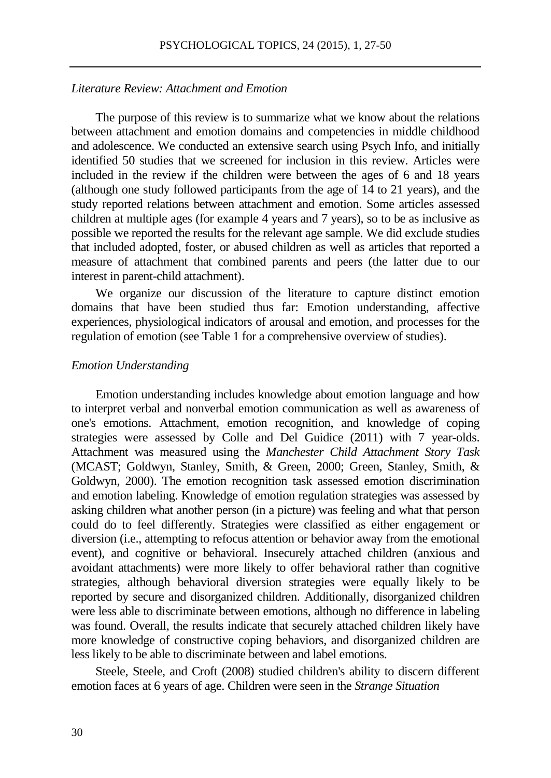#### *Literature Review: Attachment and Emotion*

The purpose of this review is to summarize what we know about the relations between attachment and emotion domains and competencies in middle childhood and adolescence. We conducted an extensive search using Psych Info, and initially identified 50 studies that we screened for inclusion in this review. Articles were included in the review if the children were between the ages of 6 and 18 years (although one study followed participants from the age of 14 to 21 years), and the study reported relations between attachment and emotion. Some articles assessed children at multiple ages (for example 4 years and 7 years), so to be as inclusive as possible we reported the results for the relevant age sample. We did exclude studies that included adopted, foster, or abused children as well as articles that reported a measure of attachment that combined parents and peers (the latter due to our interest in parent-child attachment).

We organize our discussion of the literature to capture distinct emotion domains that have been studied thus far: Emotion understanding, affective experiences, physiological indicators of arousal and emotion, and processes for the regulation of emotion (see Table 1 for a comprehensive overview of studies).

#### *Emotion Understanding*

Emotion understanding includes knowledge about emotion language and how to interpret verbal and nonverbal emotion communication as well as awareness of one's emotions. Attachment, emotion recognition, and knowledge of coping strategies were assessed by Colle and Del Guidice (2011) with 7 year-olds. Attachment was measured using the *Manchester Child Attachment Story Task*  (MCAST; Goldwyn, Stanley, Smith, & Green, 2000; Green, Stanley, Smith, & Goldwyn, 2000). The emotion recognition task assessed emotion discrimination and emotion labeling. Knowledge of emotion regulation strategies was assessed by asking children what another person (in a picture) was feeling and what that person could do to feel differently. Strategies were classified as either engagement or diversion (i.e., attempting to refocus attention or behavior away from the emotional event), and cognitive or behavioral. Insecurely attached children (anxious and avoidant attachments) were more likely to offer behavioral rather than cognitive strategies, although behavioral diversion strategies were equally likely to be reported by secure and disorganized children. Additionally, disorganized children were less able to discriminate between emotions, although no difference in labeling was found. Overall, the results indicate that securely attached children likely have more knowledge of constructive coping behaviors, and disorganized children are less likely to be able to discriminate between and label emotions.

Steele, Steele, and Croft (2008) studied children's ability to discern different emotion faces at 6 years of age. Children were seen in the *Strange Situation*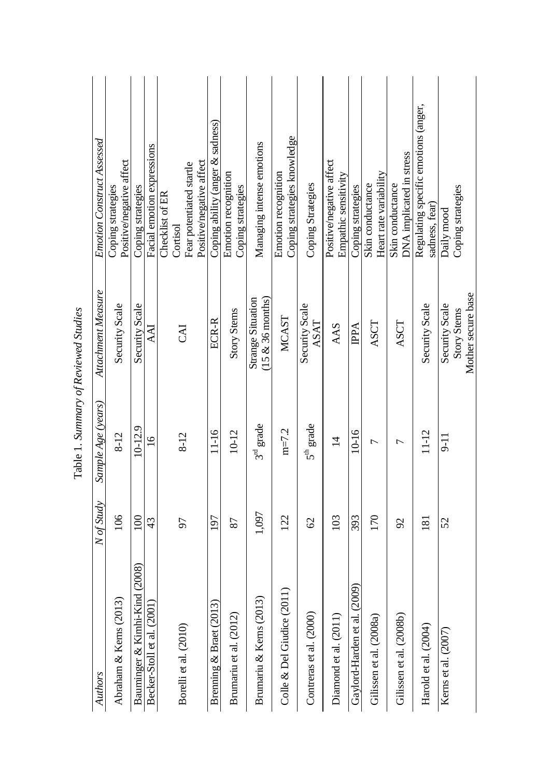| Authors                           | N of Study    | Sample Age (years) | Attachment Measure                              | Emotion Construct Assessed                             |
|-----------------------------------|---------------|--------------------|-------------------------------------------------|--------------------------------------------------------|
| Abraham & Kerns (2013)            | 106           | $8 - 12$           | Security Scale                                  | Positive/negative affect<br>Coping strategies          |
| (2008)<br>Bauminger & Kimhi-Kind  | 100           | 10-12.9            | Security Scale                                  | Coping strategies                                      |
| Becker-Stoll et al. (2001)        | 43            | $\overline{6}$     | AAI                                             | Facial emotion expressions                             |
|                                   |               |                    |                                                 | Checklist of ER                                        |
| Borelli et al. (2010)             | 57            | $8 - 12$           | <b>LKO</b>                                      | Fear potentiated startle<br>Cortisol                   |
|                                   |               |                    |                                                 | Positive/negative affect                               |
| Brenning & Braet (2013)           | 197           | 11-16              | ECR-R                                           | Coping ability (anger $\&$ sadness)                    |
| Brumariu et al. (2012)            | 87            | $10 - 12$          | <b>Story Stems</b>                              | Emotion recognition<br>Coping strategies               |
| Brumariu & Kerns (2013)           | 1,097         | $3^{\rm rd}$ grade | <b>Strange Situation</b><br>$(15 \& 36$ months) | Managing intense emotions                              |
| Colle & Del Giudice (2011         | 122           | $m=7.2$            | <b>MCAST</b>                                    | Coping strategies knowledge<br>Emotion recognition     |
| Contreras et al. (2000)           | $\infty$      | $5^{\rm th}$ grade | Security Scale<br>ASAT                          | Coping Strategies                                      |
| Diamond et al. (2011)             | 103           | $\overline{1}$     | AAS                                             | Positive/negative affect<br>Empathic sensitivity       |
| ົົ<br>Gaylord-Harden et al. (2009 | 393           | $10 - 16$          | <b>IPPA</b>                                     | Coping strategies                                      |
| Gilissen et al. (2008a)           | 170           | 7                  | ASCT                                            | Heart rate variability<br>Skin conductance             |
| Gilissen et al. (2008b)           | $\mathcal{S}$ | Γ                  | ASCT                                            | DNA implicated in stress<br>Skin conductance           |
| Harold et al. (2004)              | 181           | $11 - 12$          | Security Scale                                  | Regulating specific emotions (anger,<br>sadness, fear) |
| Kerns et al. (2007)               | 52            | -<br>11            | Security Scale                                  | Daily mood                                             |
|                                   |               |                    | Story Stems                                     | Coping strategies                                      |
|                                   |               |                    | Mother secure base                              |                                                        |

| I                      |
|------------------------|
| j<br>$\ddot{\dot{\ }}$ |
| ł                      |
| i<br>I                 |
|                        |
|                        |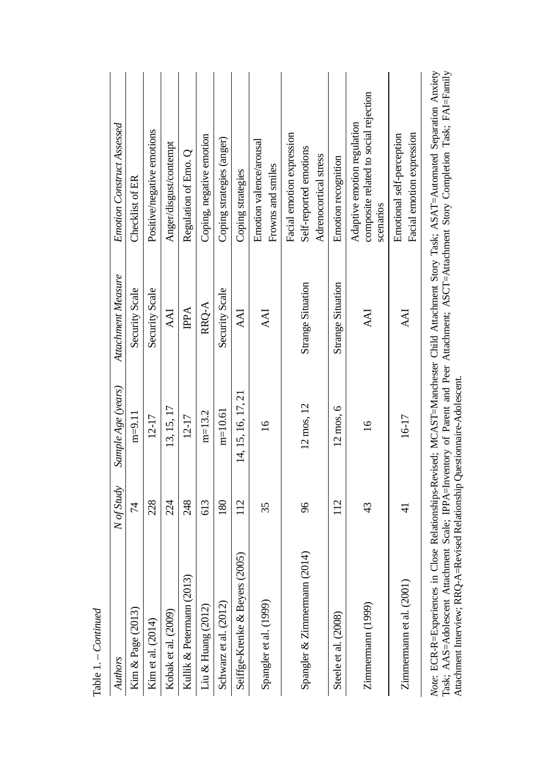| Authors                                                                    | N of Study    | Sample Age (years) | Attachment Measure       | <b>Emotion Construct Assessed</b>                                                                                                                                                                                                                                                 |
|----------------------------------------------------------------------------|---------------|--------------------|--------------------------|-----------------------------------------------------------------------------------------------------------------------------------------------------------------------------------------------------------------------------------------------------------------------------------|
| Kim & Page (2013)                                                          | 74            | $m=9.11$           | Security Scale           | Checklist of ER                                                                                                                                                                                                                                                                   |
| Kim et al. (2014)                                                          | 228           | $12 - 17$          | Security Scale           | Positive/negative emotions                                                                                                                                                                                                                                                        |
| Kobak et al. (2009)                                                        | 24            | 13, 15, 17         | <b>AAI</b>               | Anger/disgust/contempt                                                                                                                                                                                                                                                            |
| Kullik & Petermann (2013)                                                  | 248           | $12 - 17$          | <b>IPPA</b>              | Regulation of Emo. Q                                                                                                                                                                                                                                                              |
| Liu & Huang $(2012)$                                                       | 613           | $m=13.2$           | RRQ-A                    | Coping, negative emotion                                                                                                                                                                                                                                                          |
| Schwarz et al. (2012)                                                      | 180           | $m=10.61$          | Security Scale           | Coping strategies (anger)                                                                                                                                                                                                                                                         |
| (2005)<br>Seiffge-Krenke & Beyers                                          | 112           | 14, 15, 16, 17, 21 | <b>AAI</b>               | Coping strategies                                                                                                                                                                                                                                                                 |
| Spangler et al. (1999)                                                     | 35            | $\overline{16}$    | AAI                      | Emotion valence/arousal<br>Frowns and smiles                                                                                                                                                                                                                                      |
| (2014)<br>Spangler & Zimmermann                                            | 96            | 12 mos, 12         | <b>Strange Situation</b> | Facial emotion expression<br>Self-reported emotions<br>Adrenocortical stress                                                                                                                                                                                                      |
| Steele et al. (2008)                                                       | 112           | 12 mos, 6          | <b>Strange Situation</b> | Emotion recognition                                                                                                                                                                                                                                                               |
| Zimmermann (1999)                                                          | 43            | $\overline{16}$    | <b>AAI</b>               | composite related to social rejection<br>Adaptive emotion regulation<br>scenarios                                                                                                                                                                                                 |
| Zimmermann et al. (2001)                                                   | $\frac{1}{4}$ | 16-17              | <b>IKK</b>               | Facial emotion expression<br>Emotional self-perception                                                                                                                                                                                                                            |
| Attachment Interview; RRQ-A=Revised Relationship Questionnaire-Adolescent. |               |                    |                          | Note: ECR-R=Experiences in Close Relationships-Revised; MCAST=Manchester Child Attachment Story Task; ASAT=Automated Separation Anxiety<br>Task; AAS=Adolescent Attachment Scale; IPPA=Inventory of Parent and Peer Attachment; ASCT=Attachment Story Completion Task; FAI=Family |

Table 1. – *Continued*

Table 1. – Continued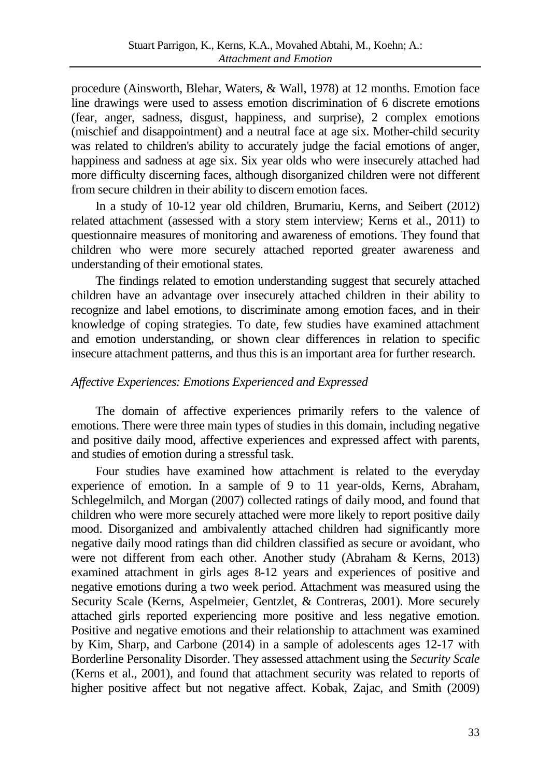procedure (Ainsworth, Blehar, Waters, & Wall, 1978) at 12 months. Emotion face line drawings were used to assess emotion discrimination of 6 discrete emotions (fear, anger, sadness, disgust, happiness, and surprise), 2 complex emotions (mischief and disappointment) and a neutral face at age six. Mother-child security was related to children's ability to accurately judge the facial emotions of anger, happiness and sadness at age six. Six year olds who were insecurely attached had more difficulty discerning faces, although disorganized children were not different from secure children in their ability to discern emotion faces.

In a study of 10-12 year old children, Brumariu, Kerns, and Seibert (2012) related attachment (assessed with a story stem interview; Kerns et al., 2011) to questionnaire measures of monitoring and awareness of emotions. They found that children who were more securely attached reported greater awareness and understanding of their emotional states.

The findings related to emotion understanding suggest that securely attached children have an advantage over insecurely attached children in their ability to recognize and label emotions, to discriminate among emotion faces, and in their knowledge of coping strategies. To date, few studies have examined attachment and emotion understanding, or shown clear differences in relation to specific insecure attachment patterns, and thus this is an important area for further research.

## *Affective Experiences: Emotions Experienced and Expressed*

The domain of affective experiences primarily refers to the valence of emotions. There were three main types of studies in this domain, including negative and positive daily mood, affective experiences and expressed affect with parents, and studies of emotion during a stressful task.

Four studies have examined how attachment is related to the everyday experience of emotion. In a sample of 9 to 11 year-olds, Kerns, Abraham, Schlegelmilch, and Morgan (2007) collected ratings of daily mood, and found that children who were more securely attached were more likely to report positive daily mood. Disorganized and ambivalently attached children had significantly more negative daily mood ratings than did children classified as secure or avoidant, who were not different from each other. Another study (Abraham & Kerns, 2013) examined attachment in girls ages 8-12 years and experiences of positive and negative emotions during a two week period. Attachment was measured using the Security Scale (Kerns, Aspelmeier, Gentzlet, & Contreras, 2001). More securely attached girls reported experiencing more positive and less negative emotion. Positive and negative emotions and their relationship to attachment was examined by Kim, Sharp, and Carbone (2014) in a sample of adolescents ages 12-17 with Borderline Personality Disorder. They assessed attachment using the *Security Scale* (Kerns et al., 2001), and found that attachment security was related to reports of higher positive affect but not negative affect. Kobak, Zajac, and Smith (2009)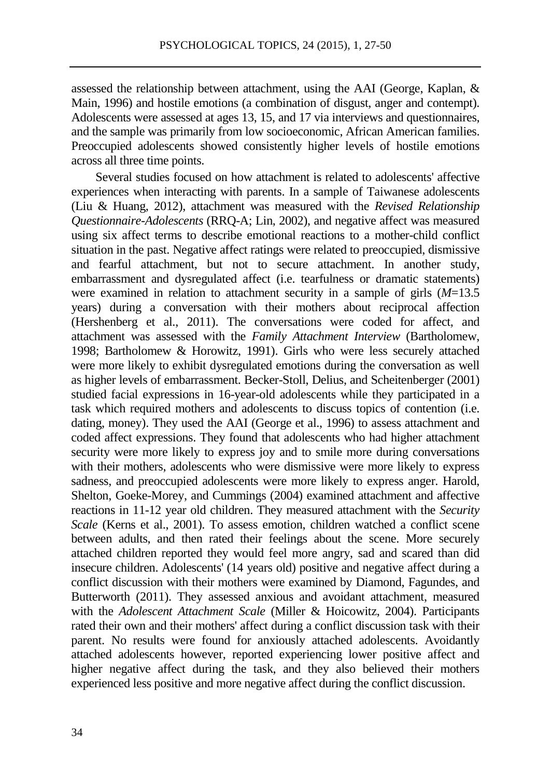assessed the relationship between attachment, using the AAI (George, Kaplan, & Main, 1996) and hostile emotions (a combination of disgust, anger and contempt). Adolescents were assessed at ages 13, 15, and 17 via interviews and questionnaires, and the sample was primarily from low socioeconomic, African American families. Preoccupied adolescents showed consistently higher levels of hostile emotions across all three time points.

Several studies focused on how attachment is related to adolescents' affective experiences when interacting with parents. In a sample of Taiwanese adolescents (Liu & Huang, 2012), attachment was measured with the *Revised Relationship Questionnaire-Adolescents* (RRQ-A; Lin, 2002), and negative affect was measured using six affect terms to describe emotional reactions to a mother-child conflict situation in the past. Negative affect ratings were related to preoccupied, dismissive and fearful attachment, but not to secure attachment. In another study, embarrassment and dysregulated affect (i.e. tearfulness or dramatic statements) were examined in relation to attachment security in a sample of girls (*M*=13.5 years) during a conversation with their mothers about reciprocal affection (Hershenberg et al., 2011). The conversations were coded for affect, and attachment was assessed with the *Family Attachment Interview* (Bartholomew, 1998; Bartholomew & Horowitz, 1991). Girls who were less securely attached were more likely to exhibit dysregulated emotions during the conversation as well as higher levels of embarrassment. Becker-Stoll, Delius, and Scheitenberger (2001) studied facial expressions in 16-year-old adolescents while they participated in a task which required mothers and adolescents to discuss topics of contention (i.e. dating, money). They used the AAI (George et al., 1996) to assess attachment and coded affect expressions. They found that adolescents who had higher attachment security were more likely to express joy and to smile more during conversations with their mothers, adolescents who were dismissive were more likely to express sadness, and preoccupied adolescents were more likely to express anger. Harold, Shelton, Goeke-Morey, and Cummings (2004) examined attachment and affective reactions in 11-12 year old children. They measured attachment with the *Security Scale* (Kerns et al., 2001). To assess emotion, children watched a conflict scene between adults, and then rated their feelings about the scene. More securely attached children reported they would feel more angry, sad and scared than did insecure children. Adolescents' (14 years old) positive and negative affect during a conflict discussion with their mothers were examined by Diamond, Fagundes, and Butterworth (2011). They assessed anxious and avoidant attachment, measured with the *Adolescent Attachment Scale* (Miller & Hoicowitz, 2004). Participants rated their own and their mothers' affect during a conflict discussion task with their parent. No results were found for anxiously attached adolescents. Avoidantly attached adolescents however, reported experiencing lower positive affect and higher negative affect during the task, and they also believed their mothers experienced less positive and more negative affect during the conflict discussion.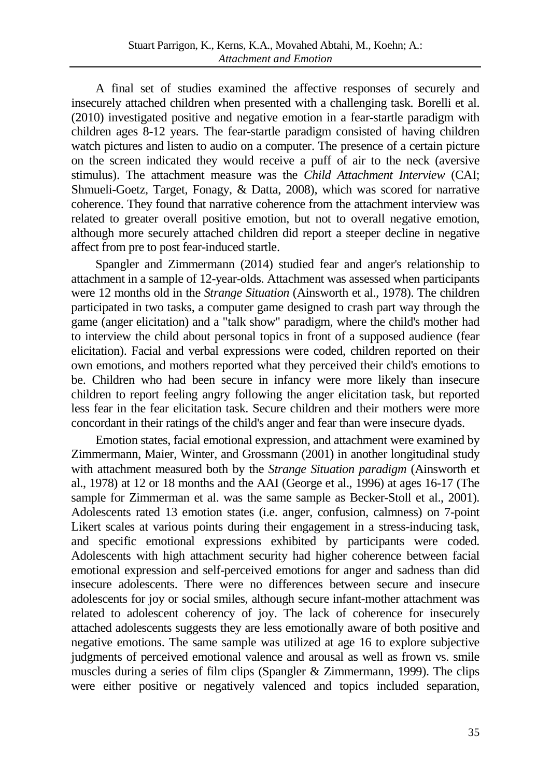A final set of studies examined the affective responses of securely and insecurely attached children when presented with a challenging task. Borelli et al. (2010) investigated positive and negative emotion in a fear-startle paradigm with children ages 8-12 years. The fear-startle paradigm consisted of having children watch pictures and listen to audio on a computer. The presence of a certain picture on the screen indicated they would receive a puff of air to the neck (aversive stimulus). The attachment measure was the *Child Attachment Interview* (CAI; Shmueli-Goetz, Target, Fonagy, & Datta, 2008), which was scored for narrative coherence. They found that narrative coherence from the attachment interview was related to greater overall positive emotion, but not to overall negative emotion, although more securely attached children did report a steeper decline in negative affect from pre to post fear-induced startle.

Spangler and Zimmermann (2014) studied fear and anger's relationship to attachment in a sample of 12-year-olds. Attachment was assessed when participants were 12 months old in the *Strange Situation* (Ainsworth et al., 1978). The children participated in two tasks, a computer game designed to crash part way through the game (anger elicitation) and a "talk show" paradigm, where the child's mother had to interview the child about personal topics in front of a supposed audience (fear elicitation). Facial and verbal expressions were coded, children reported on their own emotions, and mothers reported what they perceived their child's emotions to be. Children who had been secure in infancy were more likely than insecure children to report feeling angry following the anger elicitation task, but reported less fear in the fear elicitation task. Secure children and their mothers were more concordant in their ratings of the child's anger and fear than were insecure dyads.

Emotion states, facial emotional expression, and attachment were examined by Zimmermann, Maier, Winter, and Grossmann (2001) in another longitudinal study with attachment measured both by the *Strange Situation paradigm* (Ainsworth et al., 1978) at 12 or 18 months and the AAI (George et al., 1996) at ages 16-17 (The sample for Zimmerman et al. was the same sample as Becker-Stoll et al., 2001). Adolescents rated 13 emotion states (i.e. anger, confusion, calmness) on 7-point Likert scales at various points during their engagement in a stress-inducing task, and specific emotional expressions exhibited by participants were coded. Adolescents with high attachment security had higher coherence between facial emotional expression and self-perceived emotions for anger and sadness than did insecure adolescents. There were no differences between secure and insecure adolescents for joy or social smiles, although secure infant-mother attachment was related to adolescent coherency of joy. The lack of coherence for insecurely attached adolescents suggests they are less emotionally aware of both positive and negative emotions. The same sample was utilized at age 16 to explore subjective judgments of perceived emotional valence and arousal as well as frown vs. smile muscles during a series of film clips (Spangler & Zimmermann, 1999). The clips were either positive or negatively valenced and topics included separation,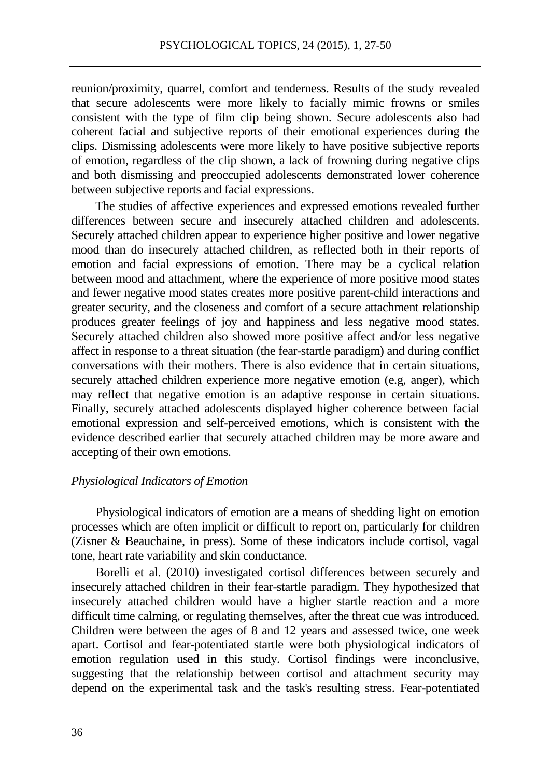reunion/proximity, quarrel, comfort and tenderness. Results of the study revealed that secure adolescents were more likely to facially mimic frowns or smiles consistent with the type of film clip being shown. Secure adolescents also had coherent facial and subjective reports of their emotional experiences during the clips. Dismissing adolescents were more likely to have positive subjective reports of emotion, regardless of the clip shown, a lack of frowning during negative clips and both dismissing and preoccupied adolescents demonstrated lower coherence between subjective reports and facial expressions.

The studies of affective experiences and expressed emotions revealed further differences between secure and insecurely attached children and adolescents. Securely attached children appear to experience higher positive and lower negative mood than do insecurely attached children, as reflected both in their reports of emotion and facial expressions of emotion. There may be a cyclical relation between mood and attachment, where the experience of more positive mood states and fewer negative mood states creates more positive parent-child interactions and greater security, and the closeness and comfort of a secure attachment relationship produces greater feelings of joy and happiness and less negative mood states. Securely attached children also showed more positive affect and/or less negative affect in response to a threat situation (the fear-startle paradigm) and during conflict conversations with their mothers. There is also evidence that in certain situations, securely attached children experience more negative emotion (e.g, anger), which may reflect that negative emotion is an adaptive response in certain situations. Finally, securely attached adolescents displayed higher coherence between facial emotional expression and self-perceived emotions, which is consistent with the evidence described earlier that securely attached children may be more aware and accepting of their own emotions.

## *Physiological Indicators of Emotion*

Physiological indicators of emotion are a means of shedding light on emotion processes which are often implicit or difficult to report on, particularly for children (Zisner & Beauchaine, in press). Some of these indicators include cortisol, vagal tone, heart rate variability and skin conductance.

Borelli et al. (2010) investigated cortisol differences between securely and insecurely attached children in their fear-startle paradigm. They hypothesized that insecurely attached children would have a higher startle reaction and a more difficult time calming, or regulating themselves, after the threat cue was introduced. Children were between the ages of 8 and 12 years and assessed twice, one week apart. Cortisol and fear-potentiated startle were both physiological indicators of emotion regulation used in this study. Cortisol findings were inconclusive, suggesting that the relationship between cortisol and attachment security may depend on the experimental task and the task's resulting stress. Fear-potentiated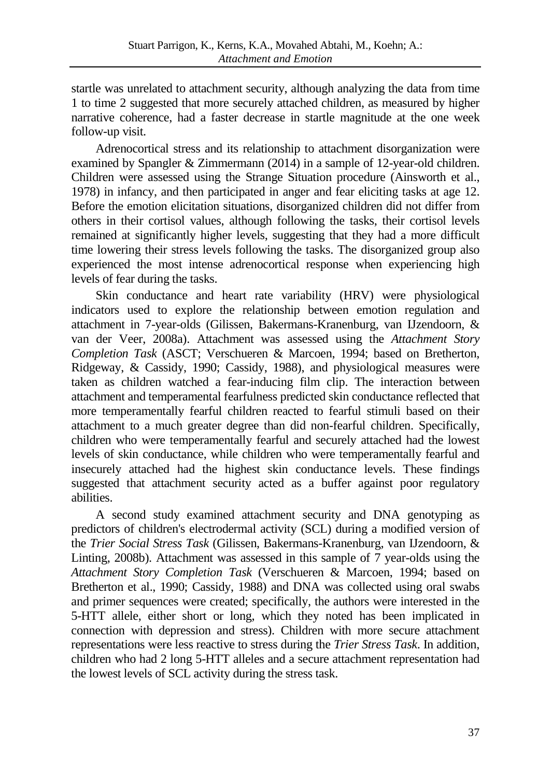startle was unrelated to attachment security, although analyzing the data from time 1 to time 2 suggested that more securely attached children, as measured by higher narrative coherence, had a faster decrease in startle magnitude at the one week follow-up visit.

Adrenocortical stress and its relationship to attachment disorganization were examined by Spangler & Zimmermann (2014) in a sample of 12-year-old children. Children were assessed using the Strange Situation procedure (Ainsworth et al., 1978) in infancy, and then participated in anger and fear eliciting tasks at age 12. Before the emotion elicitation situations, disorganized children did not differ from others in their cortisol values, although following the tasks, their cortisol levels remained at significantly higher levels, suggesting that they had a more difficult time lowering their stress levels following the tasks. The disorganized group also experienced the most intense adrenocortical response when experiencing high levels of fear during the tasks.

Skin conductance and heart rate variability (HRV) were physiological indicators used to explore the relationship between emotion regulation and attachment in 7-year-olds (Gilissen, Bakermans-Kranenburg, van IJzendoorn, & van der Veer, 2008a). Attachment was assessed using the *Attachment Story Completion Task* (ASCT; Verschueren & Marcoen, 1994; based on Bretherton, Ridgeway, & Cassidy, 1990; Cassidy, 1988), and physiological measures were taken as children watched a fear-inducing film clip. The interaction between attachment and temperamental fearfulness predicted skin conductance reflected that more temperamentally fearful children reacted to fearful stimuli based on their attachment to a much greater degree than did non-fearful children. Specifically, children who were temperamentally fearful and securely attached had the lowest levels of skin conductance, while children who were temperamentally fearful and insecurely attached had the highest skin conductance levels. These findings suggested that attachment security acted as a buffer against poor regulatory abilities.

A second study examined attachment security and DNA genotyping as predictors of children's electrodermal activity (SCL) during a modified version of the *Trier Social Stress Task* (Gilissen, Bakermans-Kranenburg, van IJzendoorn, & Linting, 2008b). Attachment was assessed in this sample of 7 year-olds using the *Attachment Story Completion Task* (Verschueren & Marcoen, 1994; based on Bretherton et al., 1990; Cassidy, 1988) and DNA was collected using oral swabs and primer sequences were created; specifically, the authors were interested in the 5-HTT allele, either short or long, which they noted has been implicated in connection with depression and stress). Children with more secure attachment representations were less reactive to stress during the *Trier Stress Task*. In addition, children who had 2 long 5-HTT alleles and a secure attachment representation had the lowest levels of SCL activity during the stress task.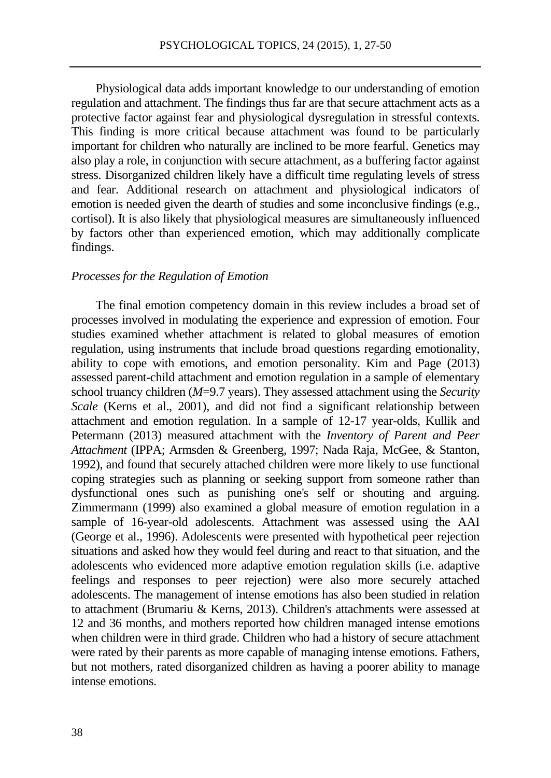Physiological data adds important knowledge to our understanding of emotion regulation and attachment. The findings thus far are that secure attachment acts as a protective factor against fear and physiological dysregulation in stressful contexts. This finding is more critical because attachment was found to be particularly important for children who naturally are inclined to be more fearful. Genetics may also play a role, in conjunction with secure attachment, as a buffering factor against stress. Disorganized children likely have a difficult time regulating levels of stress and fear. Additional research on attachment and physiological indicators of emotion is needed given the dearth of studies and some inconclusive findings (e.g., cortisol). It is also likely that physiological measures are simultaneously influenced by factors other than experienced emotion, which may additionally complicate findings.

#### *Processes for the Regulation of Emotion*

The final emotion competency domain in this review includes a broad set of processes involved in modulating the experience and expression of emotion. Four studies examined whether attachment is related to global measures of emotion regulation, using instruments that include broad questions regarding emotionality, ability to cope with emotions, and emotion personality. Kim and Page (2013) assessed parent-child attachment and emotion regulation in a sample of elementary school truancy children (*M*=9.7 years). They assessed attachment using the *Security Scale* (Kerns et al., 2001), and did not find a significant relationship between attachment and emotion regulation. In a sample of 12-17 year-olds, Kullik and Petermann (2013) measured attachment with the *Inventory of Parent and Peer Attachment* (IPPA; Armsden & Greenberg, 1997; Nada Raja, McGee, & Stanton, 1992), and found that securely attached children were more likely to use functional coping strategies such as planning or seeking support from someone rather than dysfunctional ones such as punishing one's self or shouting and arguing. Zimmermann (1999) also examined a global measure of emotion regulation in a sample of 16-year-old adolescents. Attachment was assessed using the AAI (George et al., 1996). Adolescents were presented with hypothetical peer rejection situations and asked how they would feel during and react to that situation, and the adolescents who evidenced more adaptive emotion regulation skills (i.e. adaptive feelings and responses to peer rejection) were also more securely attached adolescents. The management of intense emotions has also been studied in relation to attachment (Brumariu & Kerns, 2013). Children's attachments were assessed at 12 and 36 months, and mothers reported how children managed intense emotions when children were in third grade. Children who had a history of secure attachment were rated by their parents as more capable of managing intense emotions. Fathers, but not mothers, rated disorganized children as having a poorer ability to manage intense emotions.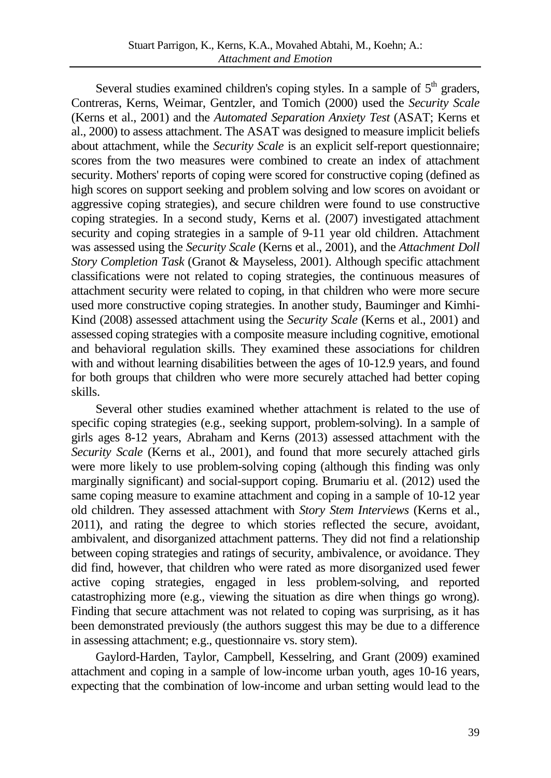Several studies examined children's coping styles. In a sample of  $5<sup>th</sup>$  graders, Contreras, Kerns, Weimar, Gentzler, and Tomich (2000) used the *Security Scale* (Kerns et al., 2001) and the *Automated Separation Anxiety Test* (ASAT; Kerns et al., 2000) to assess attachment. The ASAT was designed to measure implicit beliefs about attachment, while the *Security Scale* is an explicit self-report questionnaire; scores from the two measures were combined to create an index of attachment security. Mothers' reports of coping were scored for constructive coping (defined as high scores on support seeking and problem solving and low scores on avoidant or aggressive coping strategies), and secure children were found to use constructive coping strategies. In a second study, Kerns et al. (2007) investigated attachment security and coping strategies in a sample of 9-11 year old children. Attachment was assessed using the *Security Scale* (Kerns et al., 2001), and the *Attachment Doll Story Completion Task* (Granot & Mayseless, 2001). Although specific attachment classifications were not related to coping strategies, the continuous measures of attachment security were related to coping, in that children who were more secure used more constructive coping strategies. In another study, Bauminger and Kimhi-Kind (2008) assessed attachment using the *Security Scale* (Kerns et al., 2001) and assessed coping strategies with a composite measure including cognitive, emotional and behavioral regulation skills. They examined these associations for children with and without learning disabilities between the ages of 10-12.9 years, and found for both groups that children who were more securely attached had better coping skills.

Several other studies examined whether attachment is related to the use of specific coping strategies (e.g., seeking support, problem-solving). In a sample of girls ages 8-12 years, Abraham and Kerns (2013) assessed attachment with the *Security Scale* (Kerns et al., 2001), and found that more securely attached girls were more likely to use problem-solving coping (although this finding was only marginally significant) and social-support coping. Brumariu et al. (2012) used the same coping measure to examine attachment and coping in a sample of 10-12 year old children. They assessed attachment with *Story Stem Interviews* (Kerns et al., 2011), and rating the degree to which stories reflected the secure, avoidant, ambivalent, and disorganized attachment patterns. They did not find a relationship between coping strategies and ratings of security, ambivalence, or avoidance. They did find, however, that children who were rated as more disorganized used fewer active coping strategies, engaged in less problem-solving, and reported catastrophizing more (e.g., viewing the situation as dire when things go wrong). Finding that secure attachment was not related to coping was surprising, as it has been demonstrated previously (the authors suggest this may be due to a difference in assessing attachment; e.g., questionnaire vs. story stem).

Gaylord-Harden, Taylor, Campbell, Kesselring, and Grant (2009) examined attachment and coping in a sample of low-income urban youth, ages 10-16 years, expecting that the combination of low-income and urban setting would lead to the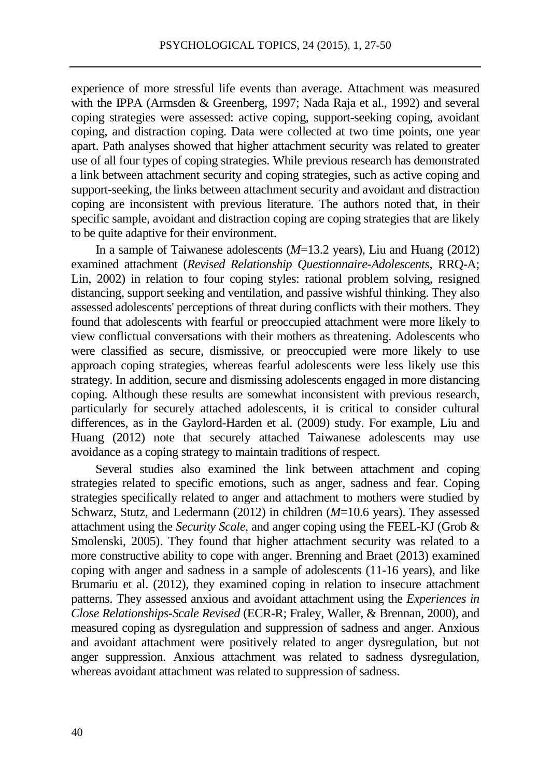experience of more stressful life events than average. Attachment was measured with the IPPA (Armsden & Greenberg, 1997; Nada Raja et al., 1992) and several coping strategies were assessed: active coping, support-seeking coping, avoidant coping, and distraction coping. Data were collected at two time points, one year apart. Path analyses showed that higher attachment security was related to greater use of all four types of coping strategies. While previous research has demonstrated a link between attachment security and coping strategies, such as active coping and support-seeking, the links between attachment security and avoidant and distraction coping are inconsistent with previous literature. The authors noted that, in their specific sample, avoidant and distraction coping are coping strategies that are likely to be quite adaptive for their environment.

In a sample of Taiwanese adolescents (*M*=13.2 years), Liu and Huang (2012) examined attachment (*Revised Relationship Questionnaire-Adolescents*, RRQ-A; Lin, 2002) in relation to four coping styles: rational problem solving, resigned distancing, support seeking and ventilation, and passive wishful thinking. They also assessed adolescents' perceptions of threat during conflicts with their mothers. They found that adolescents with fearful or preoccupied attachment were more likely to view conflictual conversations with their mothers as threatening. Adolescents who were classified as secure, dismissive, or preoccupied were more likely to use approach coping strategies, whereas fearful adolescents were less likely use this strategy. In addition, secure and dismissing adolescents engaged in more distancing coping. Although these results are somewhat inconsistent with previous research, particularly for securely attached adolescents, it is critical to consider cultural differences, as in the Gaylord-Harden et al. (2009) study. For example, Liu and Huang (2012) note that securely attached Taiwanese adolescents may use avoidance as a coping strategy to maintain traditions of respect.

Several studies also examined the link between attachment and coping strategies related to specific emotions, such as anger, sadness and fear. Coping strategies specifically related to anger and attachment to mothers were studied by Schwarz, Stutz, and Ledermann (2012) in children (*M*=10.6 years). They assessed attachment using the *Security Scale*, and anger coping using the FEEL-KJ (Grob & Smolenski, 2005). They found that higher attachment security was related to a more constructive ability to cope with anger. Brenning and Braet (2013) examined coping with anger and sadness in a sample of adolescents (11-16 years), and like Brumariu et al. (2012), they examined coping in relation to insecure attachment patterns. They assessed anxious and avoidant attachment using the *Experiences in Close Relationships-Scale Revised* (ECR-R; Fraley, Waller, & Brennan, 2000), and measured coping as dysregulation and suppression of sadness and anger. Anxious and avoidant attachment were positively related to anger dysregulation, but not anger suppression. Anxious attachment was related to sadness dysregulation, whereas avoidant attachment was related to suppression of sadness.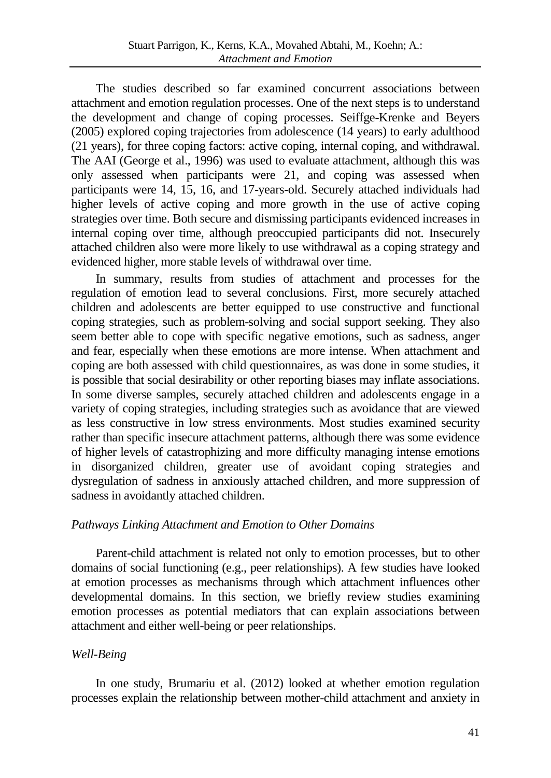The studies described so far examined concurrent associations between attachment and emotion regulation processes. One of the next steps is to understand the development and change of coping processes. Seiffge-Krenke and Beyers (2005) explored coping trajectories from adolescence (14 years) to early adulthood (21 years), for three coping factors: active coping, internal coping, and withdrawal. The AAI (George et al., 1996) was used to evaluate attachment, although this was only assessed when participants were 21, and coping was assessed when participants were 14, 15, 16, and 17-years-old. Securely attached individuals had higher levels of active coping and more growth in the use of active coping strategies over time. Both secure and dismissing participants evidenced increases in internal coping over time, although preoccupied participants did not. Insecurely attached children also were more likely to use withdrawal as a coping strategy and evidenced higher, more stable levels of withdrawal over time.

In summary, results from studies of attachment and processes for the regulation of emotion lead to several conclusions. First, more securely attached children and adolescents are better equipped to use constructive and functional coping strategies, such as problem-solving and social support seeking. They also seem better able to cope with specific negative emotions, such as sadness, anger and fear, especially when these emotions are more intense. When attachment and coping are both assessed with child questionnaires, as was done in some studies, it is possible that social desirability or other reporting biases may inflate associations. In some diverse samples, securely attached children and adolescents engage in a variety of coping strategies, including strategies such as avoidance that are viewed as less constructive in low stress environments. Most studies examined security rather than specific insecure attachment patterns, although there was some evidence of higher levels of catastrophizing and more difficulty managing intense emotions in disorganized children, greater use of avoidant coping strategies and dysregulation of sadness in anxiously attached children, and more suppression of sadness in avoidantly attached children.

## *Pathways Linking Attachment and Emotion to Other Domains*

Parent-child attachment is related not only to emotion processes, but to other domains of social functioning (e.g., peer relationships). A few studies have looked at emotion processes as mechanisms through which attachment influences other developmental domains. In this section, we briefly review studies examining emotion processes as potential mediators that can explain associations between attachment and either well-being or peer relationships.

## *Well-Being*

In one study, Brumariu et al. (2012) looked at whether emotion regulation processes explain the relationship between mother-child attachment and anxiety in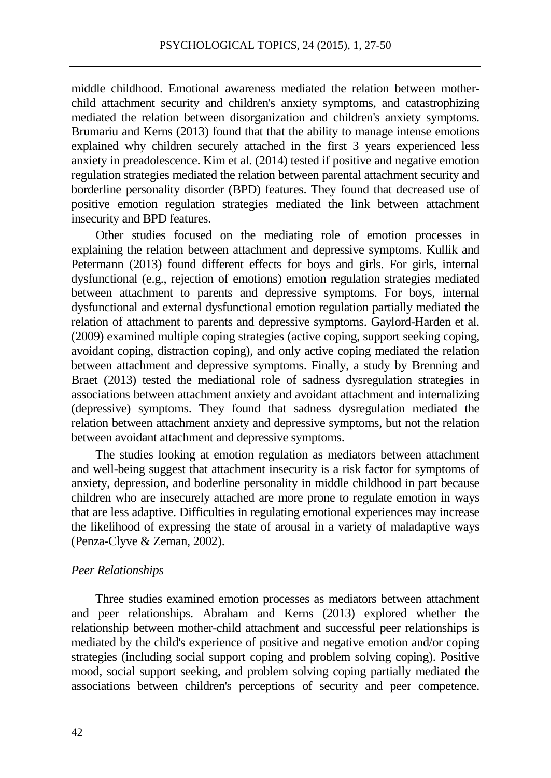middle childhood. Emotional awareness mediated the relation between motherchild attachment security and children's anxiety symptoms, and catastrophizing mediated the relation between disorganization and children's anxiety symptoms. Brumariu and Kerns (2013) found that that the ability to manage intense emotions explained why children securely attached in the first 3 years experienced less anxiety in preadolescence. Kim et al. (2014) tested if positive and negative emotion regulation strategies mediated the relation between parental attachment security and borderline personality disorder (BPD) features. They found that decreased use of positive emotion regulation strategies mediated the link between attachment insecurity and BPD features.

Other studies focused on the mediating role of emotion processes in explaining the relation between attachment and depressive symptoms. Kullik and Petermann (2013) found different effects for boys and girls. For girls, internal dysfunctional (e.g., rejection of emotions) emotion regulation strategies mediated between attachment to parents and depressive symptoms. For boys, internal dysfunctional and external dysfunctional emotion regulation partially mediated the relation of attachment to parents and depressive symptoms. Gaylord-Harden et al. (2009) examined multiple coping strategies (active coping, support seeking coping, avoidant coping, distraction coping), and only active coping mediated the relation between attachment and depressive symptoms. Finally, a study by Brenning and Braet (2013) tested the mediational role of sadness dysregulation strategies in associations between attachment anxiety and avoidant attachment and internalizing (depressive) symptoms. They found that sadness dysregulation mediated the relation between attachment anxiety and depressive symptoms, but not the relation between avoidant attachment and depressive symptoms.

The studies looking at emotion regulation as mediators between attachment and well-being suggest that attachment insecurity is a risk factor for symptoms of anxiety, depression, and boderline personality in middle childhood in part because children who are insecurely attached are more prone to regulate emotion in ways that are less adaptive. Difficulties in regulating emotional experiences may increase the likelihood of expressing the state of arousal in a variety of maladaptive ways (Penza-Clyve & Zeman, 2002).

#### *Peer Relationships*

Three studies examined emotion processes as mediators between attachment and peer relationships. Abraham and Kerns (2013) explored whether the relationship between mother-child attachment and successful peer relationships is mediated by the child's experience of positive and negative emotion and/or coping strategies (including social support coping and problem solving coping). Positive mood, social support seeking, and problem solving coping partially mediated the associations between children's perceptions of security and peer competence.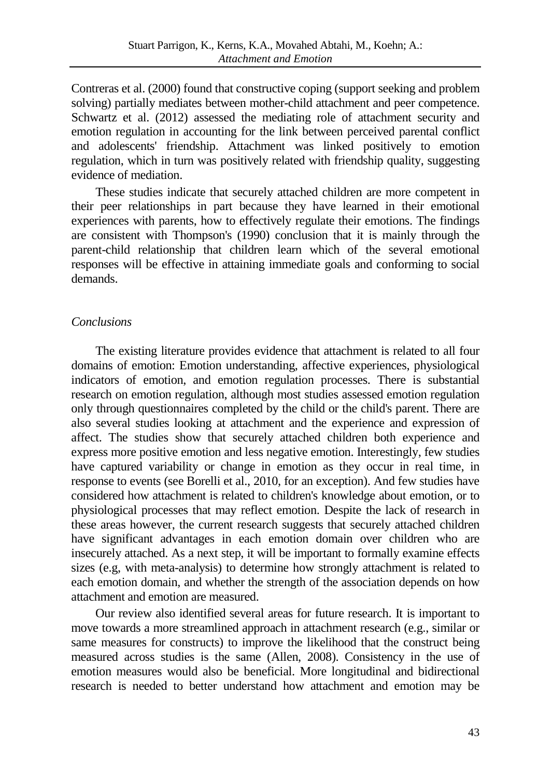Contreras et al. (2000) found that constructive coping (support seeking and problem solving) partially mediates between mother-child attachment and peer competence. Schwartz et al. (2012) assessed the mediating role of attachment security and emotion regulation in accounting for the link between perceived parental conflict and adolescents' friendship. Attachment was linked positively to emotion regulation, which in turn was positively related with friendship quality, suggesting evidence of mediation.

These studies indicate that securely attached children are more competent in their peer relationships in part because they have learned in their emotional experiences with parents, how to effectively regulate their emotions. The findings are consistent with Thompson's (1990) conclusion that it is mainly through the parent-child relationship that children learn which of the several emotional responses will be effective in attaining immediate goals and conforming to social demands.

## *Conclusions*

The existing literature provides evidence that attachment is related to all four domains of emotion: Emotion understanding, affective experiences, physiological indicators of emotion, and emotion regulation processes. There is substantial research on emotion regulation, although most studies assessed emotion regulation only through questionnaires completed by the child or the child's parent. There are also several studies looking at attachment and the experience and expression of affect. The studies show that securely attached children both experience and express more positive emotion and less negative emotion. Interestingly, few studies have captured variability or change in emotion as they occur in real time, in response to events (see Borelli et al., 2010, for an exception). And few studies have considered how attachment is related to children's knowledge about emotion, or to physiological processes that may reflect emotion. Despite the lack of research in these areas however, the current research suggests that securely attached children have significant advantages in each emotion domain over children who are insecurely attached. As a next step, it will be important to formally examine effects sizes (e.g, with meta-analysis) to determine how strongly attachment is related to each emotion domain, and whether the strength of the association depends on how attachment and emotion are measured.

Our review also identified several areas for future research. It is important to move towards a more streamlined approach in attachment research (e.g., similar or same measures for constructs) to improve the likelihood that the construct being measured across studies is the same (Allen, 2008). Consistency in the use of emotion measures would also be beneficial. More longitudinal and bidirectional research is needed to better understand how attachment and emotion may be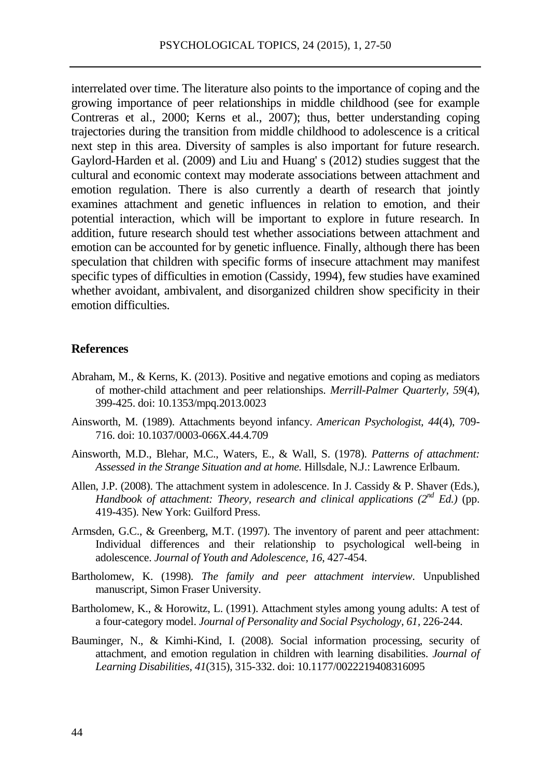interrelated over time. The literature also points to the importance of coping and the growing importance of peer relationships in middle childhood (see for example Contreras et al., 2000; Kerns et al., 2007); thus, better understanding coping trajectories during the transition from middle childhood to adolescence is a critical next step in this area. Diversity of samples is also important for future research. Gaylord-Harden et al. (2009) and Liu and Huang' s (2012) studies suggest that the cultural and economic context may moderate associations between attachment and emotion regulation. There is also currently a dearth of research that jointly examines attachment and genetic influences in relation to emotion, and their potential interaction, which will be important to explore in future research. In addition, future research should test whether associations between attachment and emotion can be accounted for by genetic influence. Finally, although there has been speculation that children with specific forms of insecure attachment may manifest specific types of difficulties in emotion (Cassidy, 1994), few studies have examined whether avoidant, ambivalent, and disorganized children show specificity in their emotion difficulties.

#### **References**

- Abraham, M., & Kerns, K. (2013). Positive and negative emotions and coping as mediators of mother-child attachment and peer relationships. *Merrill-Palmer Quarterly, 59*(4), 399-425. doi: 10.1353/mpq.2013.0023
- Ainsworth, M. (1989). Attachments beyond infancy. *American Psychologist, 44*(4), 709- 716. doi[: 10.1037/0003-066X.44.4.709](http://psycnet.apa.org/doi/10.1037/0003-066X.44.4.709)
- Ainsworth, M.D., Blehar, M.C., Waters, E., & Wall, S. (1978). *Patterns of attachment: Assessed in the Strange Situation and at home.* Hillsdale, N.J.: Lawrence Erlbaum.
- Allen, J.P. (2008). The attachment system in adolescence. In J. Cassidy & P. Shaver (Eds.), *Handbook of attachment: Theory, research and clinical applications (2<sup>nd</sup> <i>Ed.*) (pp. 419-435). New York: Guilford Press.
- Armsden, G.C., & Greenberg, M.T. (1997). The inventory of parent and peer attachment: Individual differences and their relationship to psychological well-being in adolescence. *Journal of Youth and Adolescence, 16*, 427-454.
- Bartholomew, K. (1998). *The family and peer attachment interview*. Unpublished manuscript, Simon Fraser University.
- Bartholomew, K., & Horowitz, L. (1991). Attachment styles among young adults: A test of a four-category model. *Journal of Personality and Social Psychology, 61,* 226-244.
- Bauminger, N., & Kimhi-Kind, I. (2008). Social information processing, security of attachment, and emotion regulation in children with learning disabilities. *Journal of Learning Disabilities, 41*(315), 315-332. doi: 10.1177/0022219408316095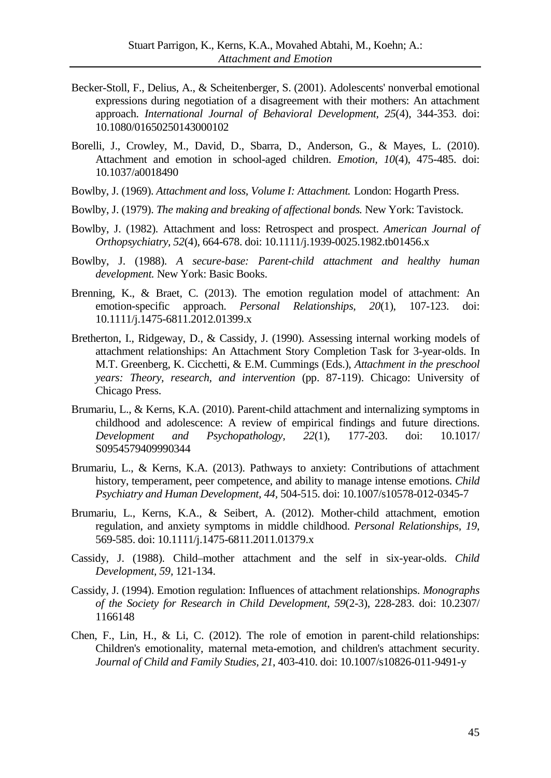- Becker-Stoll, F., Delius, A., & Scheitenberger, S. (2001). Adolescents' nonverbal emotional expressions during negotiation of a disagreement with their mothers: An attachment approach. *International Journal of Behavioral Development, 25*(4), 344-353. doi: 10.1080/01650250143000102
- Borelli, J., Crowley, M., David, D., Sbarra, D., Anderson, G., & Mayes, L. (2010). Attachment and emotion in school-aged children. *Emotion, 10*(4), 475-485. doi: 10.1037/a0018490
- Bowlby, J. (1969). *Attachment and loss, Volume I: Attachment.* London: Hogarth Press.
- Bowlby, J. (1979). *The making and breaking of affectional bonds.* New York: Tavistock.
- Bowlby, J. (1982). Attachment and loss: Retrospect and prospect. *American Journal of Orthopsychiatry, 52*(4), 664-678. doi: 10.1111/j.1939-0025.1982.tb01456.x
- Bowlby, J. (1988). *A secure-base: Parent-child attachment and healthy human development.* New York: Basic Books.
- Brenning, K., & Braet, C. (2013). The emotion regulation model of attachment: An emotion-specific approach. *Personal Relationships, 20*(1), 107-123. doi: 10.1111/j.1475-6811.2012.01399.x
- Bretherton, I., Ridgeway, D., & Cassidy, J. (1990). Assessing internal working models of attachment relationships: An Attachment Story Completion Task for 3-year-olds. In M.T. Greenberg, K. Cicchetti, & E.M. Cummings (Eds.), *Attachment in the preschool years: Theory, research, and intervention* (pp. 87-119). Chicago: University of Chicago Press.
- Brumariu, L., & Kerns, K.A. (2010). Parent-child attachment and internalizing symptoms in childhood and adolescence: A review of empirical findings and future directions. *Development and Psychopathology, 22*(1), 177-203. doi: 10.1017/ S0954579409990344
- Brumariu, L., & Kerns, K.A. (2013). Pathways to anxiety: Contributions of attachment history, temperament, peer competence, and ability to manage intense emotions. *Child Psychiatry and Human Development, 44,* 504-515. doi: 10.1007/s10578-012-0345-7
- Brumariu, L., Kerns, K.A., & Seibert, A. (2012). Mother-child attachment, emotion regulation, and anxiety symptoms in middle childhood. *Personal Relationships, 19*, 569-585. doi: 10.1111/j.1475-6811.2011.01379.x
- Cassidy, J. (1988). Child–mother attachment and the self in six-year-olds. *Child Development, 59,* 121-134.
- Cassidy, J. (1994). Emotion regulation: Influences of attachment relationships. *Monographs of the Society for Research in Child Development, 59*(2-3), 228-283. doi: 10.2307/ 1166148
- Chen, F., Lin, H., & Li, C. (2012). The role of emotion in parent-child relationships: Children's emotionality, maternal meta-emotion, and children's attachment security. *Journal of Child and Family Studies, 21*, 403-410. doi: 10.1007/s10826-011-9491-y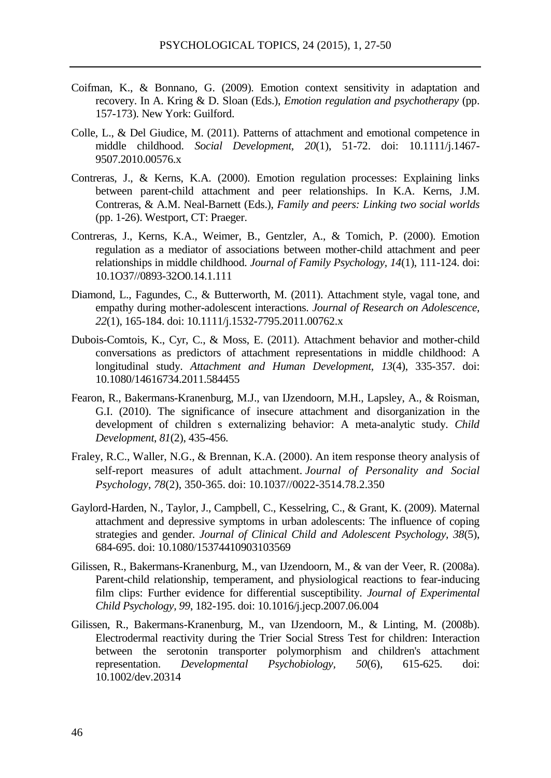- Coifman, K., & Bonnano, G. (2009). Emotion context sensitivity in adaptation and recovery. In A. Kring & D. Sloan (Eds.), *Emotion regulation and psychotherapy* (pp. 157-173). New York: Guilford.
- Colle, L., & Del Giudice, M. (2011). Patterns of attachment and emotional competence in middle childhood. *Social Development, 20*(1), 51-72. doi: 10.1111/j.1467- 9507.2010.00576.x
- Contreras, J., & Kerns, K.A. (2000). Emotion regulation processes: Explaining links between parent-child attachment and peer relationships. In K.A. Kerns, J.M. Contreras, & A.M. Neal-Barnett (Eds.), *Family and peers: Linking two social worlds*  (pp. 1-26). Westport, CT: Praeger.
- Contreras, J., Kerns, K.A., Weimer, B., Gentzler, A., & Tomich, P. (2000). Emotion regulation as a mediator of associations between mother-child attachment and peer relationships in middle childhood. *Journal of Family Psychology, 14*(1), 111-124. doi: 10.1O37//0893-32O0.14.1.111
- Diamond, L., Fagundes, C., & Butterworth, M. (2011). Attachment style, vagal tone, and empathy during mother-adolescent interactions. *Journal of Research on Adolescence, 22*(1), 165-184. doi: 10.1111/j.1532-7795.2011.00762.x
- Dubois-Comtois, K., Cyr, C., & Moss, E. (2011). Attachment behavior and mother-child conversations as predictors of attachment representations in middle childhood: A longitudinal study. *Attachment and Human Development, 13*(4), 335-357. doi: 10.1080/14616734.2011.584455
- Fearon, R., Bakermans-Kranenburg, M.J., van IJzendoorn, M.H., Lapsley, A., & Roisman, G.I. (2010). The significance of insecure attachment and disorganization in the development of children s externalizing behavior: A meta-analytic study. *Child Development*, *81*(2), 435-456.
- Fraley, R.C., Waller, N.G., & Brennan, K.A. (2000). An item response theory analysis of self-report measures of adult attachment. *Journal of Personality and Social Psychology*, *78*(2), 350-365. doi: 10.1037//0022-3514.78.2.350
- Gaylord-Harden, N., Taylor, J., Campbell, C., Kesselring, C., & Grant, K. (2009). Maternal attachment and depressive symptoms in urban adolescents: The influence of coping strategies and gender. *Journal of Clinical Child and Adolescent Psychology, 38*(5), 684-695. doi: 10.1080/15374410903103569
- Gilissen, R., Bakermans-Kranenburg, M., van IJzendoorn, M., & van der Veer, R. (2008a). Parent-child relationship, temperament, and physiological reactions to fear-inducing film clips: Further evidence for differential susceptibility. *Journal of Experimental Child Psychology, 99*, 182-195. doi: 10.1016/j.jecp.2007.06.004
- Gilissen, R., Bakermans-Kranenburg, M., van IJzendoorn, M., & Linting, M. (2008b). Electrodermal reactivity during the Trier Social Stress Test for children: Interaction between the serotonin transporter polymorphism and children's attachment representation. *Developmental Psychobiology, 50*(6), 615-625. doi: 10.1002/dev.20314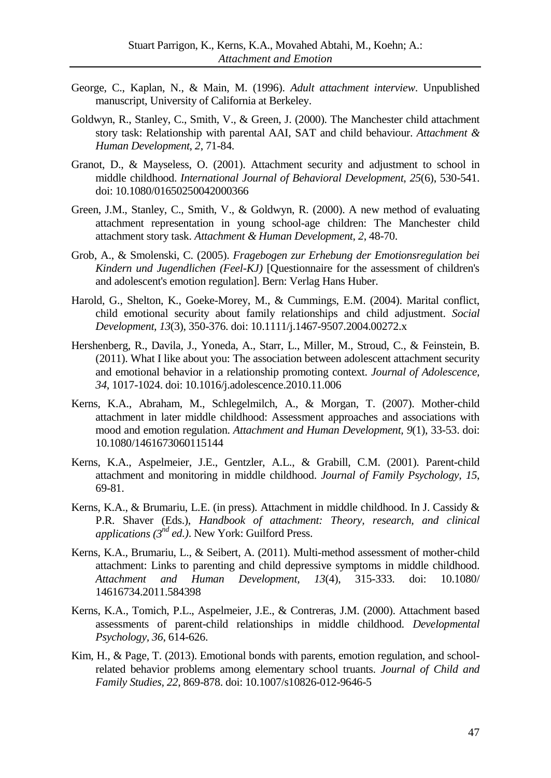- George, C., Kaplan, N., & Main, M. (1996). *Adult attachment interview*. Unpublished manuscript, University of California at Berkeley.
- Goldwyn, R., Stanley, C., Smith, V., & Green, J. (2000). The Manchester child attachment story task: Relationship with parental AAI, SAT and child behaviour. *Attachment & Human Development*, *2*, 71-84.
- Granot, D., & Mayseless, O. (2001). Attachment security and adjustment to school in middle childhood. *International Journal of Behavioral Development*, *25*(6), 530-541. doi: 10.1080/01650250042000366
- Green, J.M., Stanley, C., Smith, V., & Goldwyn, R. (2000). A new method of evaluating attachment representation in young school-age children: The Manchester child attachment story task. *Attachment & Human Development*, *2*, 48-70.
- Grob, A., & Smolenski, C. (2005). *Fragebogen zur Erhebung der Emotionsregulation bei Kindern und Jugendlichen (Feel-KJ)* [Questionnaire for the assessment of children's and adolescent's emotion regulation]. Bern: Verlag Hans Huber.
- Harold, G., Shelton, K., Goeke-Morey, M., & Cummings, E.M. (2004). Marital conflict, child emotional security about family relationships and child adjustment. *Social Development, 13*(3), 350-376. doi: 10.1111/j.1467-9507.2004.00272.x
- Hershenberg, R., Davila, J., Yoneda, A., Starr, L., Miller, M., Stroud, C., & Feinstein, B. (2011). What I like about you: The association between adolescent attachment security and emotional behavior in a relationship promoting context. *Journal of Adolescence, 34*, 1017-1024. doi: 10.1016/j.adolescence.2010.11.006
- Kerns, K.A., Abraham, M., Schlegelmilch, A., & Morgan, T. (2007). Mother-child attachment in later middle childhood: Assessment approaches and associations with mood and emotion regulation. *Attachment and Human Development, 9*(1), 33-53. doi: 10.1080/1461673060115144
- Kerns, K.A., Aspelmeier, J.E., Gentzler, A.L., & Grabill, C.M. (2001). Parent-child attachment and monitoring in middle childhood. *Journal of Family Psychology, 15*, 69-81.
- Kerns, K.A., & Brumariu, L.E. (in press). Attachment in middle childhood. In J. Cassidy & P.R. Shaver (Eds.), *Handbook of attachment: Theory, research, and clinical applications (3nd ed.)*. New York: Guilford Press.
- Kerns, K.A., Brumariu, L., & Seibert, A. (2011). Multi-method assessment of mother-child attachment: Links to parenting and child depressive symptoms in middle childhood. *Attachment and Human Development, 13*(4), 315-333. doi: 10.1080/ 14616734.2011.584398
- Kerns, K.A., Tomich, P.L., Aspelmeier, J.E., & Contreras, J.M. (2000). Attachment based assessments of parent-child relationships in middle childhood. *Developmental Psychology, 36*, 614-626.
- Kim, H., & Page, T. (2013). Emotional bonds with parents, emotion regulation, and schoolrelated behavior problems among elementary school truants. *Journal of Child and Family Studies, 22*, 869-878. doi: 10.1007/s10826-012-9646-5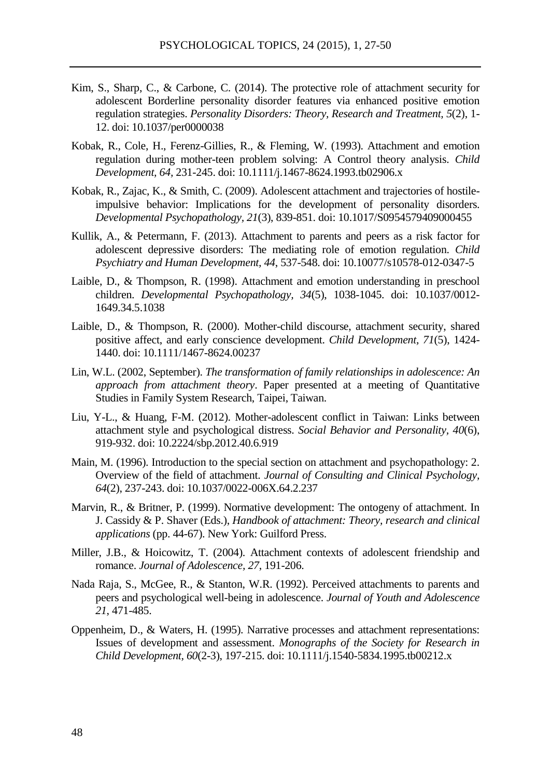- Kim, S., Sharp, C., & Carbone, C. (2014). The protective role of attachment security for adolescent Borderline personality disorder features via enhanced positive emotion regulation strategies. *Personality Disorders: Theory, Research and Treatment, 5*(2), 1- 12. doi: 10.1037/per0000038
- Kobak, R., Cole, H., Ferenz-Gillies, R., & Fleming, W. (1993). Attachment and emotion regulation during mother-teen problem solving: A Control theory analysis. *Child Development, 64,* 231-245. doi: 10.1111/j.1467-8624.1993.tb02906.x
- Kobak, R., Zajac, K., & Smith, C. (2009). Adolescent attachment and trajectories of hostileimpulsive behavior: Implications for the development of personality disorders. *Developmental Psychopathology, 21*(3), 839-851. doi: 10.1017/S0954579409000455
- Kullik, A., & Petermann, F. (2013). Attachment to parents and peers as a risk factor for adolescent depressive disorders: The mediating role of emotion regulation. *Child Psychiatry and Human Development, 44*, 537-548. doi: 10.10077/s10578-012-0347-5
- Laible, D., & Thompson, R. (1998). Attachment and emotion understanding in preschool children. *Developmental Psychopathology, 34*(5), 1038-1045. doi: [10.1037/0012-](http://psycnet.apa.org/doi/10.1037/0012-1649.34.5.1038) [1649.34.5.1038](http://psycnet.apa.org/doi/10.1037/0012-1649.34.5.1038)
- Laible, D., & Thompson, R. (2000). Mother-child discourse, attachment security, shared positive affect, and early conscience development. *Child Development, 71*(5), 1424- 1440. doi: 10.1111/1467-8624.00237
- Lin, W.L. (2002, September). *The transformation of family relationships in adolescence: An approach from attachment theory*. Paper presented at a meeting of Quantitative Studies in Family System Research, Taipei, Taiwan.
- Liu, Y-L., & Huang, F-M. (2012). Mother-adolescent conflict in Taiwan: Links between attachment style and psychological distress. *Social Behavior and Personality, 40*(6), 919-932. doi: 10.2224/sbp.2012.40.6.919
- Main, M. (1996). Introduction to the special section on attachment and psychopathology: 2. Overview of the field of attachment. *Journal of Consulting and Clinical Psychology, 64*(2), 237-243. doi[: 10.1037/0022-006X.64.2.237](http://psycnet.apa.org/doi/10.1037/0022-006X.64.2.237)
- Marvin, R., & Britner, P. (1999). Normative development: The ontogeny of attachment. In J. Cassidy & P. Shaver (Eds.), *Handbook of attachment: Theory, research and clinical applications* (pp. 44-67). New York: Guilford Press.
- Miller, J.B., & Hoicowitz, T. (2004). Attachment contexts of adolescent friendship and romance. *Journal of Adolescence, 27*, 191-206.
- Nada Raja, S., McGee, R., & Stanton, W.R. (1992). Perceived attachments to parents and peers and psychological well-being in adolescence. *Journal of Youth and Adolescence 21*, 471-485.
- Oppenheim, D., & Waters, H. (1995). Narrative processes and attachment representations: Issues of development and assessment. *Monographs of the Society for Research in Child Development, 60*(2-3), 197-215. doi: 10.1111/j.1540-5834.1995.tb00212.x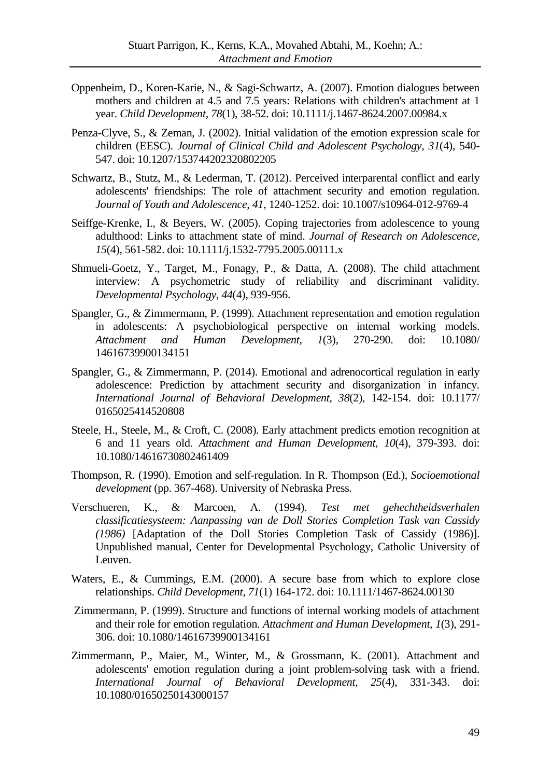- Oppenheim, D., Koren-Karie, N., & Sagi-Schwartz, A. (2007). Emotion dialogues between mothers and children at 4.5 and 7.5 years: Relations with children's attachment at 1 year. *Child Development, 78*(1), 38-52. doi: 10.1111/j.1467-8624.2007.00984.x
- Penza-Clyve, S., & Zeman, J. (2002). Initial validation of the emotion expression scale for children (EESC). *Journal of Clinical Child and Adolescent Psychology, 31*(4), 540- 547. doi: 10.1207/153744202320802205
- Schwartz, B., Stutz, M., & Lederman, T. (2012). Perceived interparental conflict and early adolescents' friendships: The role of attachment security and emotion regulation. *Journal of Youth and Adolescence, 41*, 1240-1252. doi: 10.1007/s10964-012-9769-4
- Seiffge-Krenke, I., & Beyers, W. (2005). Coping trajectories from adolescence to young adulthood: Links to attachment state of mind. *Journal of Research on Adolescence, 15*(4), 561-582. doi: 10.1111/j.1532-7795.2005.00111.x
- Shmueli-Goetz, Y., Target, M., Fonagy, P., & Datta, A. (2008). The child attachment interview: A psychometric study of reliability and discriminant validity. *Developmental Psychology*, *44*(4), 939-956.
- Spangler, G., & Zimmermann, P. (1999). Attachment representation and emotion regulation in adolescents: A psychobiological perspective on internal working models. *Attachment and Human Development, 1*(3), 270-290. doi: 10.1080/ 14616739900134151
- Spangler, G., & Zimmermann, P. (2014). Emotional and adrenocortical regulation in early adolescence: Prediction by attachment security and disorganization in infancy. *International Journal of Behavioral Development, 38*(2), 142-154. doi: 10.1177/ 0165025414520808
- Steele, H., Steele, M., & Croft, C. (2008). Early attachment predicts emotion recognition at 6 and 11 years old. *Attachment and Human Development, 10*(4), 379-393. doi: 10.1080/14616730802461409
- Thompson, R. (1990). Emotion and self-regulation. In R. Thompson (Ed.), *Socioemotional development* (pp. 367-468). University of Nebraska Press.
- Verschueren, K., & Marcoen, A. (1994). *Test met gehechtheidsverhalen classificatiesysteem: Aanpassing van de Doll Stories Completion Task van Cassidy (1986)* [Adaptation of the Doll Stories Completion Task of Cassidy (1986)]. Unpublished manual, Center for Developmental Psychology, Catholic University of Leuven.
- Waters, E., & Cummings, E.M. (2000). A secure base from which to explore close relationships. *Child Development, 71*(1) 164-172. doi: 10.1111/1467-8624.00130
- Zimmermann, P. (1999). Structure and functions of internal working models of attachment and their role for emotion regulation. *Attachment and Human Development, 1*(3), 291- 306. doi: 10.1080/14616739900134161
- Zimmermann, P., Maier, M., Winter, M., & Grossmann, K. (2001). Attachment and adolescents' emotion regulation during a joint problem-solving task with a friend. *International Journal of Behavioral Development, 25*(4), 331-343. doi: 10.1080/01650250143000157